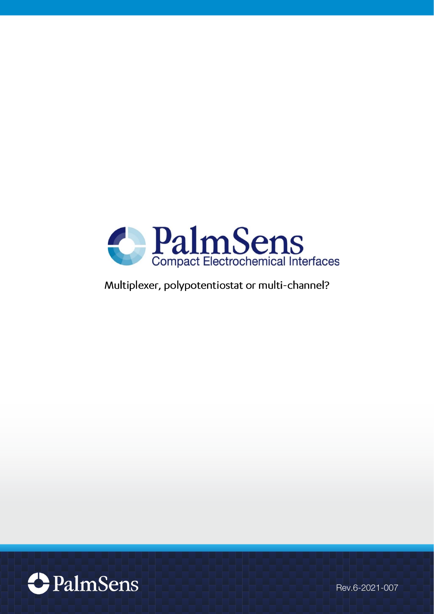

Multiplexer, polypotentiostat or multi-channel?



Rev.6-2021-007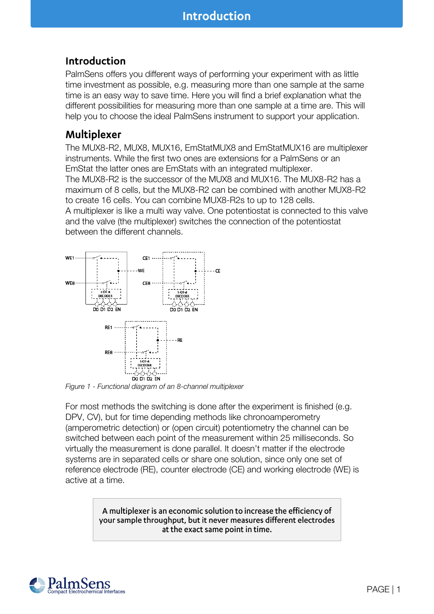# Introduction

PalmSens offers you different ways of performing your experiment with as little time investment as possible, e.g. measuring more than one sample at the same time is an easy way to save time. Here you will find a brief explanation what the different possibilities for measuring more than one sample at a time are. This will help you to choose the ideal PalmSens instrument to support your application.

# Multiplexer

The MUX8-R2, [MUX8, MUX16,](http://www.palmsens.com/en/instruments/palmsens/tab#3) [EmStatMUX8 and EmStatMUX16](http://www.palmsens.com/en/instruments/emstatmux/) are multiplexer instruments. While the first two ones are extensions for a PalmSens or an EmStat the latter ones are EmStats with an integrated multiplexer.

The MUX8-R2 is the successor of the MUX8 and MUX16. The MUX8-R2 has a maximum of 8 cells, but the MUX8-R2 can be combined with another MUX8-R2 to create 16 cells. You can combine MUX8-R2s to up to 128 cells.

A multiplexer is like a multi way valve. One potentiostat is connected to this valve and the valve (the multiplexer) switches the connection of the potentiostat between the different channels.



Figure 1 - Functional diagram of an 8-channel multiplexer

For most methods the switching is done after the experiment is finished (e.g. DPV, CV), but for time depending methods like chronoamperometry (amperometric detection) or (open circuit) potentiometry the channel can be switched between each point of the measurement within 25 milliseconds. So virtually the measurement is done parallel. It doesn't matter if the electrode systems are in separated cells or share one solution, since only one set of reference electrode (RE), counter electrode (CE) and working electrode (WE) is active at a time.

> A multiplexer is an economic solution to increase the efficiency of your sample throughput, but it never measures different electrodes at the exact same point in time.

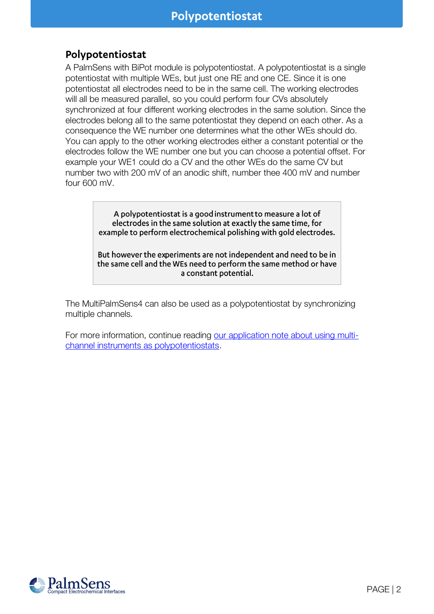# Polypotentiostat

A [PalmSens with BiPot](http://www.palmsens.com/en/instruments/palmsens/tab#4) module is polypotentiostat. A polypotentiostat is a single potentiostat with multiple WEs, but just one RE and one CE. Since it is one potentiostat all electrodes need to be in the same cell. The working electrodes will all be measured parallel, so you could perform four CVs absolutely synchronized at four different working electrodes in the same solution. Since the electrodes belong all to the same potentiostat they depend on each other. As a consequence the WE number one determines what the other WEs should do. You can apply to the other working electrodes either a constant potential or the electrodes follow the WE number one but you can choose a potential offset. For example your WE1 could do a CV and the other WEs do the same CV but number two with 200 mV of an anodic shift, number thee 400 mV and number four 600 mV.

> A polypotentiostat is a good instrument to measure a lot of electrodes in the same solution at exactly the same time, for example to perform electrochemical polishing with gold electrodes.

> But however the experiments are not independent and need to be in the same cell and the WEs need to perform the same method or have a constant potential.

The MultiPalmSens4 can also be used as a polypotentiostat by synchronizing multiple channels.

For more information, continue reading [our application note about using multi](https://www.palmsens.com/knowledgebase-article/app-note-synchronized-measurements-with-the-multipalmsens4-polypotentiostat/)[channel instruments as polypotentiostats.](https://www.palmsens.com/knowledgebase-article/app-note-synchronized-measurements-with-the-multipalmsens4-polypotentiostat/)